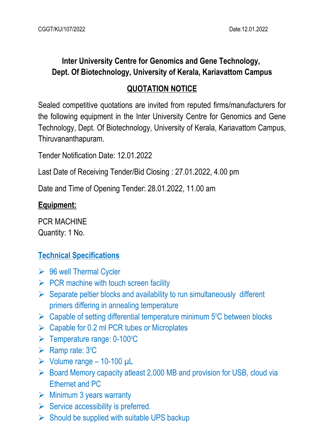# **Inter University Centre for Genomics and Gene Technology, Dept. Of Biotechnology, University of Kerala, Kariavattom Campus**

## **QUOTATION NOTICE**

Sealed competitive quotations are invited from reputed firms/manufacturers for the following equipment in the Inter University Centre for Genomics and Gene Technology, Dept. Of Biotechnology, University of Kerala, Kariavattom Campus, Thiruvananthapuram.

Tender Notification Date: 12.01.2022

Last Date of Receiving Tender/Bid Closing : 27.01.2022, 4.00 pm

Date and Time of Opening Tender: 28.01.2022, 11.00 am

#### **Equipment:**

PCR MACHINE Quantity: 1 No.

## **Technical Specifications**

- $\geq$  96 well Thermal Cycler
- $\triangleright$  PCR machine with touch screen facility
- $\triangleright$  Separate peltier blocks and availability to run simultaneously different primers differing in annealing temperature
- $\triangleright$  Capable of setting differential temperature minimum 5°C between blocks
- $\triangleright$  Capable for 0.2 ml PCR tubes or Microplates
- $\triangleright$  Temperature range: 0-100 $\degree$ C
- $\triangleright$  Ramp rate: 3°C
- $\triangleright$  Volume range 10-100 µL
- ▶ Board Memory capacity atleast 2,000 MB and provision for USB, cloud via Ethernet and PC
- $\triangleright$  Minimum 3 years warranty
- $\triangleright$  Service accessibility is preferred.
- $\triangleright$  Should be supplied with suitable UPS backup